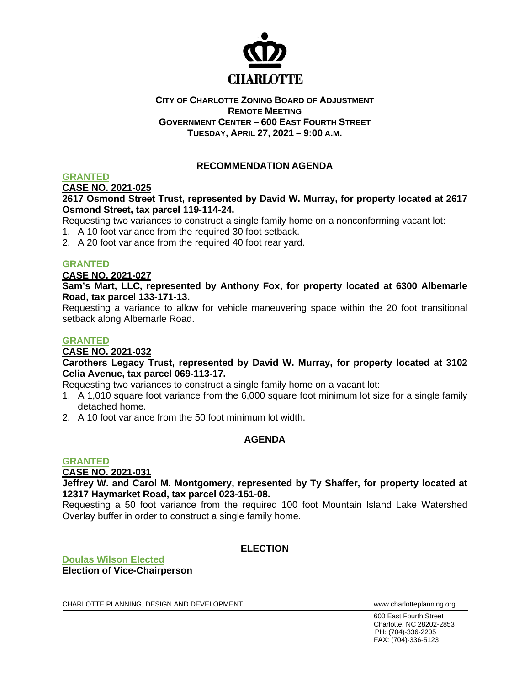

#### **CITY OF CHARLOTTE ZONING BOARD OF ADJUSTMENT REMOTE MEETING GOVERNMENT CENTER – 600 EAST FOURTH STREET TUESDAY, APRIL 27, 2021 – 9:00 A.M.**

# **RECOMMENDATION AGENDA**

# **GRANTED**

**CASE NO. 2021-025**

#### **2617 Osmond Street Trust, represented by David W. Murray, for property located at 2617 Osmond Street, tax parcel 119-114-24.**

Requesting two variances to construct a single family home on a nonconforming vacant lot:

- 1. A 10 foot variance from the required 30 foot setback.
- 2. A 20 foot variance from the required 40 foot rear yard.

#### **GRANTED**

**CASE NO. 2021-027**

**Sam's Mart, LLC, represented by Anthony Fox, for property located at 6300 Albemarle Road, tax parcel 133-171-13.**

Requesting a variance to allow for vehicle maneuvering space within the 20 foot transitional setback along Albemarle Road.

#### **GRANTED**

#### **CASE NO. 2021-032**

**Carothers Legacy Trust, represented by David W. Murray, for property located at 3102 Celia Avenue, tax parcel 069-113-17.**

Requesting two variances to construct a single family home on a vacant lot:

- 1. A 1,010 square foot variance from the 6,000 square foot minimum lot size for a single family detached home.
- 2. A 10 foot variance from the 50 foot minimum lot width.

### **AGENDA**

#### **GRANTED**

**CASE NO. 2021-031**

**Jeffrey W. and Carol M. Montgomery, represented by Ty Shaffer, for property located at 12317 Haymarket Road, tax parcel 023-151-08.**

Requesting a 50 foot variance from the required 100 foot Mountain Island Lake Watershed Overlay buffer in order to construct a single family home.

#### **ELECTION**

**Doulas Wilson Elected Election of Vice-Chairperson**

CHARLOTTE PLANNING, DESIGN AND DEVELOPMENT WWW.Charlotteplanning.org

600 East Fourth Street Charlotte, NC 28202-2853 PH: (704)-336-2205 FAX: (704)-336-5123